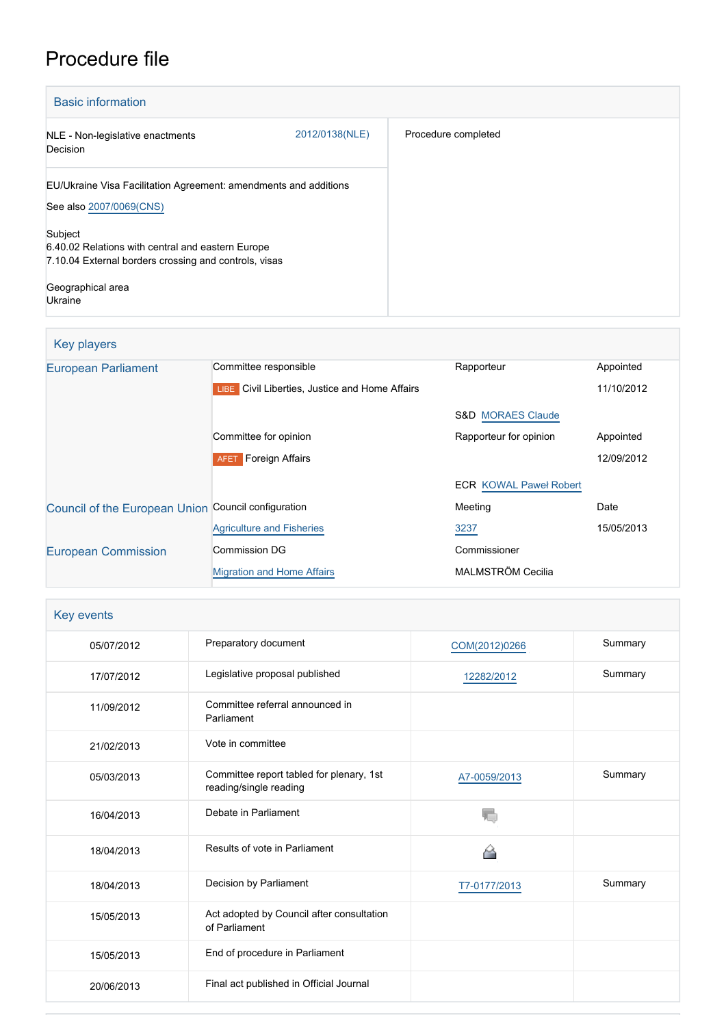# Procedure file

| <b>Basic information</b>                                                                                              |                |                     |
|-----------------------------------------------------------------------------------------------------------------------|----------------|---------------------|
| NLE - Non-legislative enactments<br>Decision                                                                          | 2012/0138(NLE) | Procedure completed |
| EU/Ukraine Visa Facilitation Agreement: amendments and additions<br>See also 2007/0069(CNS)                           |                |                     |
| Subject<br>6.40.02 Relations with central and eastern Europe<br>7.10.04 External borders crossing and controls, visas |                |                     |
| Geographical area<br>Ukraine                                                                                          |                |                     |

| Key players                                         |                                                       |                               |            |
|-----------------------------------------------------|-------------------------------------------------------|-------------------------------|------------|
| <b>European Parliament</b>                          | Committee responsible                                 | Rapporteur                    | Appointed  |
|                                                     | <b>LIBE</b> Civil Liberties, Justice and Home Affairs |                               | 11/10/2012 |
|                                                     |                                                       | <b>S&amp;D MORAES Claude</b>  |            |
|                                                     | Committee for opinion                                 | Rapporteur for opinion        | Appointed  |
|                                                     | <b>Foreign Affairs</b><br><b>AFET</b>                 |                               | 12/09/2012 |
|                                                     |                                                       | <b>ECR KOWAL Pawel Robert</b> |            |
| Council of the European Union Council configuration |                                                       | Meeting                       | Date       |
|                                                     | <b>Agriculture and Fisheries</b>                      | 3237                          | 15/05/2013 |
| <b>European Commission</b>                          | <b>Commission DG</b>                                  | Commissioner                  |            |
|                                                     | <b>Migration and Home Affairs</b>                     | MALMSTRÖM Cecilia             |            |

| Key events |                                                                    |               |         |
|------------|--------------------------------------------------------------------|---------------|---------|
| 05/07/2012 | Preparatory document                                               | COM(2012)0266 | Summary |
| 17/07/2012 | Legislative proposal published                                     | 12282/2012    | Summary |
| 11/09/2012 | Committee referral announced in<br>Parliament                      |               |         |
| 21/02/2013 | Vote in committee                                                  |               |         |
| 05/03/2013 | Committee report tabled for plenary, 1st<br>reading/single reading | A7-0059/2013  | Summary |
| 16/04/2013 | Debate in Parliament                                               |               |         |
| 18/04/2013 | Results of vote in Parliament                                      | 6             |         |
| 18/04/2013 | Decision by Parliament                                             | T7-0177/2013  | Summary |
| 15/05/2013 | Act adopted by Council after consultation<br>of Parliament         |               |         |
| 15/05/2013 | End of procedure in Parliament                                     |               |         |
| 20/06/2013 | Final act published in Official Journal                            |               |         |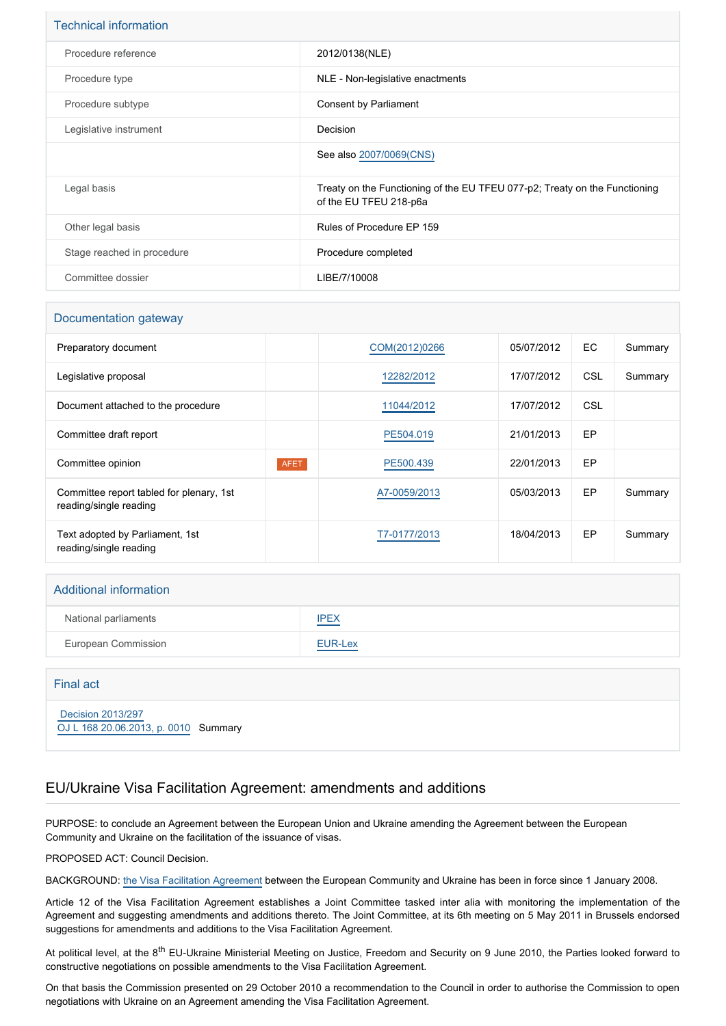| <b>Technical information</b> |                                                                                                      |
|------------------------------|------------------------------------------------------------------------------------------------------|
| Procedure reference          | 2012/0138(NLE)                                                                                       |
| Procedure type               | NLE - Non-legislative enactments                                                                     |
| Procedure subtype            | Consent by Parliament                                                                                |
| Legislative instrument       | Decision                                                                                             |
|                              | See also 2007/0069(CNS)                                                                              |
| Legal basis                  | Treaty on the Functioning of the EU TFEU 077-p2; Treaty on the Functioning<br>of the EU TFEU 218-p6a |
| Other legal basis            | Rules of Procedure EP 159                                                                            |
| Stage reached in procedure   | Procedure completed                                                                                  |
| Committee dossier            | LIBE/7/10008                                                                                         |

| Documentation gateway                                              |             |               |            |            |         |
|--------------------------------------------------------------------|-------------|---------------|------------|------------|---------|
| Preparatory document                                               |             | COM(2012)0266 | 05/07/2012 | EC.        | Summary |
| Legislative proposal                                               |             | 12282/2012    | 17/07/2012 | CSL        | Summary |
| Document attached to the procedure                                 |             | 11044/2012    | 17/07/2012 | <b>CSL</b> |         |
| Committee draft report                                             |             | PE504.019     | 21/01/2013 | EP         |         |
| Committee opinion                                                  | <b>AFET</b> | PE500.439     | 22/01/2013 | <b>EP</b>  |         |
| Committee report tabled for plenary, 1st<br>reading/single reading |             | A7-0059/2013  | 05/03/2013 | <b>EP</b>  | Summary |
| Text adopted by Parliament, 1st<br>reading/single reading          |             | T7-0177/2013  | 18/04/2013 | EP         | Summary |

### Additional information

| National parliaments | IPEX<br>__________ |
|----------------------|--------------------|
| European Commission  | <b>EUR-Lex</b>     |

#### Final act

 [Decision 2013/297](https://eur-lex.europa.eu/smartapi/cgi/sga_doc?smartapi!celexplus!prod!CELEXnumdoc&lg=EN&numdoc=32013D0297) [OJ L 168 20.06.2013, p. 0010](https://eur-lex.europa.eu/legal-content/EN/TXT/?uri=OJ:L:2013:168:TOC) Summary

# EU/Ukraine Visa Facilitation Agreement: amendments and additions

PURPOSE: to conclude an Agreement between the European Union and Ukraine amending the Agreement between the European Community and Ukraine on the facilitation of the issuance of visas.

PROPOSED ACT: Council Decision.

BACKGROUND: [the Visa Facilitation Agreement](http://www.europarl.europa.eu/oeil/popups/ficheprocedure.do?lang=EN&procnum=CNS/2007/0069) between the European Community and Ukraine has been in force since 1 January 2008.

Article 12 of the Visa Facilitation Agreement establishes a Joint Committee tasked inter alia with monitoring the implementation of the Agreement and suggesting amendments and additions thereto. The Joint Committee, at its 6th meeting on 5 May 2011 in Brussels endorsed suggestions for amendments and additions to the Visa Facilitation Agreement.

At political level, at the 8<sup>th</sup> EU-Ukraine Ministerial Meeting on Justice, Freedom and Security on 9 June 2010, the Parties looked forward to constructive negotiations on possible amendments to the Visa Facilitation Agreement.

On that basis the Commission presented on 29 October 2010 a recommendation to the Council in order to authorise the Commission to open negotiations with Ukraine on an Agreement amending the Visa Facilitation Agreement.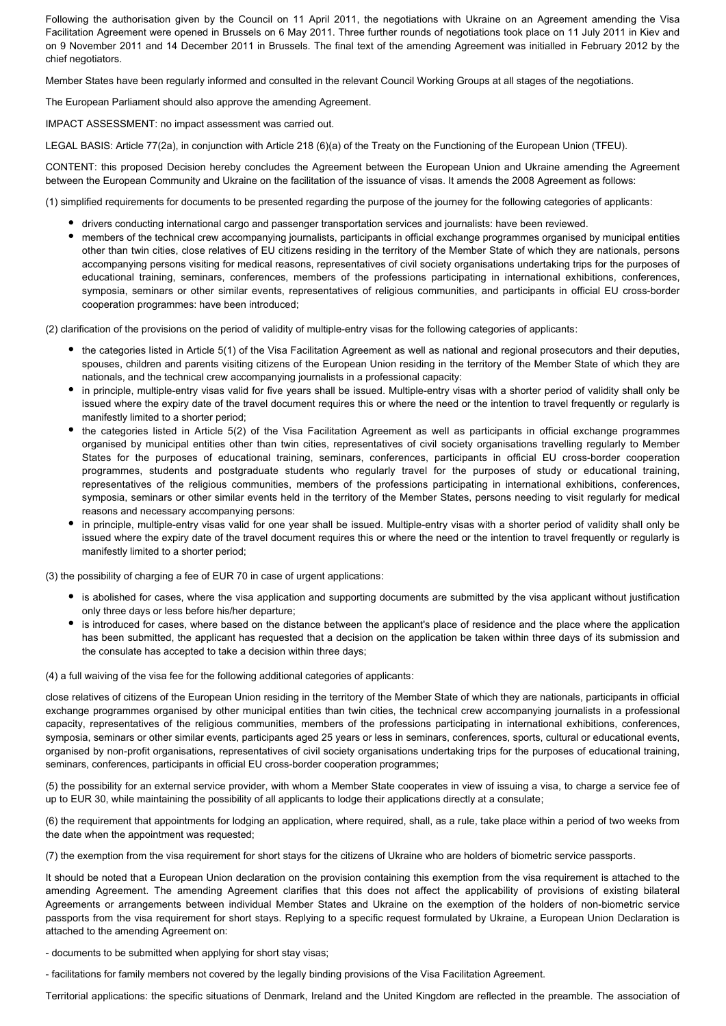Following the authorisation given by the Council on 11 April 2011, the negotiations with Ukraine on an Agreement amending the Visa Facilitation Agreement were opened in Brussels on 6 May 2011. Three further rounds of negotiations took place on 11 July 2011 in Kiev and on 9 November 2011 and 14 December 2011 in Brussels. The final text of the amending Agreement was initialled in February 2012 by the chief negotiators.

Member States have been regularly informed and consulted in the relevant Council Working Groups at all stages of the negotiations.

The European Parliament should also approve the amending Agreement.

IMPACT ASSESSMENT: no impact assessment was carried out.

LEGAL BASIS: Article 77(2a), in conjunction with Article 218 (6)(a) of the Treaty on the Functioning of the European Union (TFEU).

CONTENT: this proposed Decision hereby concludes the Agreement between the European Union and Ukraine amending the Agreement between the European Community and Ukraine on the facilitation of the issuance of visas. It amends the 2008 Agreement as follows:

(1) simplified requirements for documents to be presented regarding the purpose of the journey for the following categories of applicants:

- drivers conducting international cargo and passenger transportation services and journalists: have been reviewed.
- members of the technical crew accompanying journalists, participants in official exchange programmes organised by municipal entities other than twin cities, close relatives of EU citizens residing in the territory of the Member State of which they are nationals, persons accompanying persons visiting for medical reasons, representatives of civil society organisations undertaking trips for the purposes of educational training, seminars, conferences, members of the professions participating in international exhibitions, conferences, symposia, seminars or other similar events, representatives of religious communities, and participants in official EU cross-border cooperation programmes: have been introduced;

(2) clarification of the provisions on the period of validity of multiple-entry visas for the following categories of applicants:

- the categories listed in Article 5(1) of the Visa Facilitation Agreement as well as national and regional prosecutors and their deputies, spouses, children and parents visiting citizens of the European Union residing in the territory of the Member State of which they are nationals, and the technical crew accompanying journalists in a professional capacity:
- in principle, multiple-entry visas valid for five years shall be issued. Multiple-entry visas with a shorter period of validity shall only be issued where the expiry date of the travel document requires this or where the need or the intention to travel frequently or regularly is manifestly limited to a shorter period;
- the categories listed in Article 5(2) of the Visa Facilitation Agreement as well as participants in official exchange programmes organised by municipal entities other than twin cities, representatives of civil society organisations travelling regularly to Member States for the purposes of educational training, seminars, conferences, participants in official EU cross-border cooperation programmes, students and postgraduate students who regularly travel for the purposes of study or educational training, representatives of the religious communities, members of the professions participating in international exhibitions, conferences, symposia, seminars or other similar events held in the territory of the Member States, persons needing to visit regularly for medical reasons and necessary accompanying persons:
- in principle, multiple-entry visas valid for one year shall be issued. Multiple-entry visas with a shorter period of validity shall only be issued where the expiry date of the travel document requires this or where the need or the intention to travel frequently or regularly is manifestly limited to a shorter period;

(3) the possibility of charging a fee of EUR 70 in case of urgent applications:

- is abolished for cases, where the visa application and supporting documents are submitted by the visa applicant without justification only three days or less before his/her departure;
- is introduced for cases, where based on the distance between the applicant's place of residence and the place where the application has been submitted, the applicant has requested that a decision on the application be taken within three days of its submission and the consulate has accepted to take a decision within three days;

(4) a full waiving of the visa fee for the following additional categories of applicants:

close relatives of citizens of the European Union residing in the territory of the Member State of which they are nationals, participants in official exchange programmes organised by other municipal entities than twin cities, the technical crew accompanying journalists in a professional capacity, representatives of the religious communities, members of the professions participating in international exhibitions, conferences, symposia, seminars or other similar events, participants aged 25 years or less in seminars, conferences, sports, cultural or educational events, organised by non-profit organisations, representatives of civil society organisations undertaking trips for the purposes of educational training, seminars, conferences, participants in official EU cross-border cooperation programmes;

(5) the possibility for an external service provider, with whom a Member State cooperates in view of issuing a visa, to charge a service fee of up to EUR 30, while maintaining the possibility of all applicants to lodge their applications directly at a consulate;

(6) the requirement that appointments for lodging an application, where required, shall, as a rule, take place within a period of two weeks from the date when the appointment was requested;

(7) the exemption from the visa requirement for short stays for the citizens of Ukraine who are holders of biometric service passports.

It should be noted that a European Union declaration on the provision containing this exemption from the visa requirement is attached to the amending Agreement. The amending Agreement clarifies that this does not affect the applicability of provisions of existing bilateral Agreements or arrangements between individual Member States and Ukraine on the exemption of the holders of non-biometric service passports from the visa requirement for short stays. Replying to a specific request formulated by Ukraine, a European Union Declaration is attached to the amending Agreement on:

- documents to be submitted when applying for short stay visas;

- facilitations for family members not covered by the legally binding provisions of the Visa Facilitation Agreement.

Territorial applications: the specific situations of Denmark, Ireland and the United Kingdom are reflected in the preamble. The association of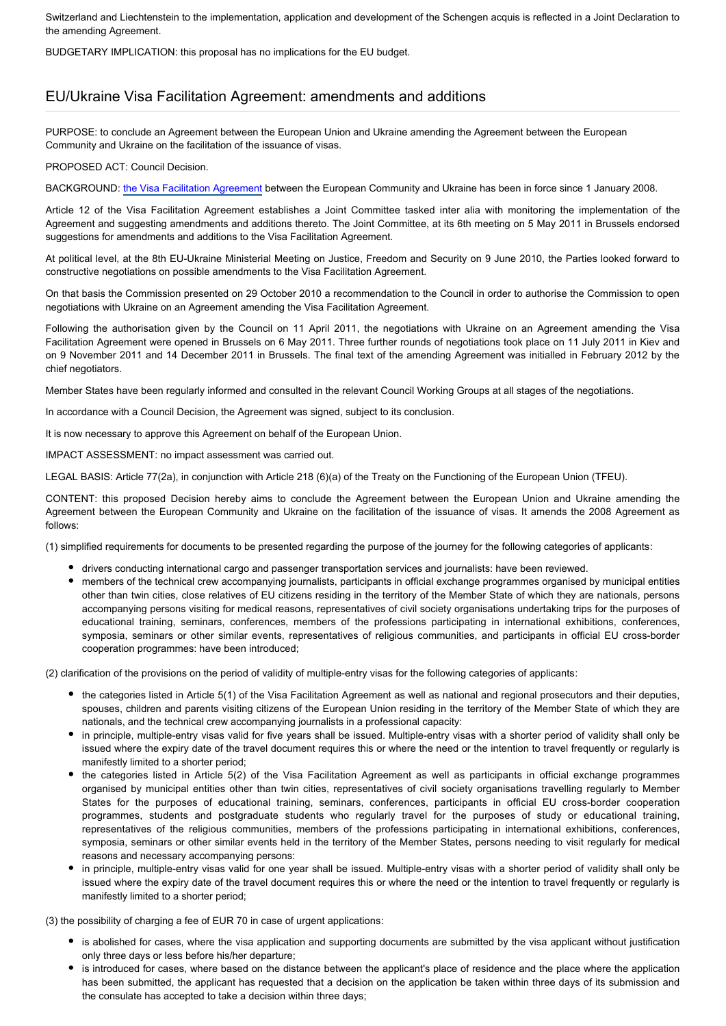Switzerland and Liechtenstein to the implementation, application and development of the Schengen acquis is reflected in a Joint Declaration to the amending Agreement.

BUDGETARY IMPLICATION: this proposal has no implications for the EU budget.

# EU/Ukraine Visa Facilitation Agreement: amendments and additions

PURPOSE: to conclude an Agreement between the European Union and Ukraine amending the Agreement between the European Community and Ukraine on the facilitation of the issuance of visas.

PROPOSED ACT: Council Decision.

BACKGROUND: [the Visa Facilitation Agreement](http://www.europarl.europa.eu/oeil/popups/ficheprocedure.do?lang=EN&procnum=CNS/2007/0069) between the European Community and Ukraine has been in force since 1 January 2008.

Article 12 of the Visa Facilitation Agreement establishes a Joint Committee tasked inter alia with monitoring the implementation of the Agreement and suggesting amendments and additions thereto. The Joint Committee, at its 6th meeting on 5 May 2011 in Brussels endorsed suggestions for amendments and additions to the Visa Facilitation Agreement.

At political level, at the 8th EU-Ukraine Ministerial Meeting on Justice, Freedom and Security on 9 June 2010, the Parties looked forward to constructive negotiations on possible amendments to the Visa Facilitation Agreement.

On that basis the Commission presented on 29 October 2010 a recommendation to the Council in order to authorise the Commission to open negotiations with Ukraine on an Agreement amending the Visa Facilitation Agreement.

Following the authorisation given by the Council on 11 April 2011, the negotiations with Ukraine on an Agreement amending the Visa Facilitation Agreement were opened in Brussels on 6 May 2011. Three further rounds of negotiations took place on 11 July 2011 in Kiev and on 9 November 2011 and 14 December 2011 in Brussels. The final text of the amending Agreement was initialled in February 2012 by the chief negotiators.

Member States have been regularly informed and consulted in the relevant Council Working Groups at all stages of the negotiations.

In accordance with a Council Decision, the Agreement was signed, subject to its conclusion.

It is now necessary to approve this Agreement on behalf of the European Union.

IMPACT ASSESSMENT: no impact assessment was carried out.

LEGAL BASIS: Article 77(2a), in conjunction with Article 218 (6)(a) of the Treaty on the Functioning of the European Union (TFEU).

CONTENT: this proposed Decision hereby aims to conclude the Agreement between the European Union and Ukraine amending the Agreement between the European Community and Ukraine on the facilitation of the issuance of visas. It amends the 2008 Agreement as follows:

(1) simplified requirements for documents to be presented regarding the purpose of the journey for the following categories of applicants:

- drivers conducting international cargo and passenger transportation services and journalists: have been reviewed.
- members of the technical crew accompanying journalists, participants in official exchange programmes organised by municipal entities other than twin cities, close relatives of EU citizens residing in the territory of the Member State of which they are nationals, persons accompanying persons visiting for medical reasons, representatives of civil society organisations undertaking trips for the purposes of educational training, seminars, conferences, members of the professions participating in international exhibitions, conferences, symposia, seminars or other similar events, representatives of religious communities, and participants in official EU cross-border cooperation programmes: have been introduced;

(2) clarification of the provisions on the period of validity of multiple-entry visas for the following categories of applicants:

- the categories listed in Article 5(1) of the Visa Facilitation Agreement as well as national and regional prosecutors and their deputies, spouses, children and parents visiting citizens of the European Union residing in the territory of the Member State of which they are nationals, and the technical crew accompanying journalists in a professional capacity:
- in principle, multiple-entry visas valid for five years shall be issued. Multiple-entry visas with a shorter period of validity shall only be issued where the expiry date of the travel document requires this or where the need or the intention to travel frequently or regularly is manifestly limited to a shorter period;
- the categories listed in Article 5(2) of the Visa Facilitation Agreement as well as participants in official exchange programmes organised by municipal entities other than twin cities, representatives of civil society organisations travelling regularly to Member States for the purposes of educational training, seminars, conferences, participants in official EU cross-border cooperation programmes, students and postgraduate students who regularly travel for the purposes of study or educational training, representatives of the religious communities, members of the professions participating in international exhibitions, conferences, symposia, seminars or other similar events held in the territory of the Member States, persons needing to visit regularly for medical reasons and necessary accompanying persons:
- in principle, multiple-entry visas valid for one year shall be issued. Multiple-entry visas with a shorter period of validity shall only be issued where the expiry date of the travel document requires this or where the need or the intention to travel frequently or regularly is manifestly limited to a shorter period;

(3) the possibility of charging a fee of EUR 70 in case of urgent applications:

- is abolished for cases, where the visa application and supporting documents are submitted by the visa applicant without justification only three days or less before his/her departure;
- is introduced for cases, where based on the distance between the applicant's place of residence and the place where the application has been submitted, the applicant has requested that a decision on the application be taken within three days of its submission and the consulate has accepted to take a decision within three days;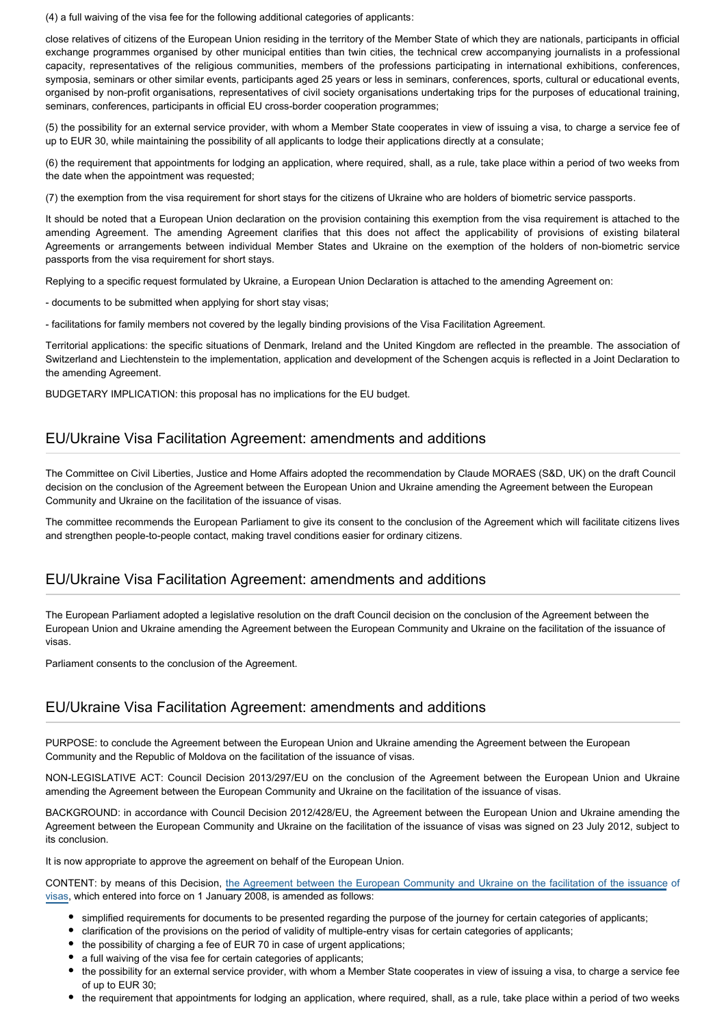(4) a full waiving of the visa fee for the following additional categories of applicants:

close relatives of citizens of the European Union residing in the territory of the Member State of which they are nationals, participants in official exchange programmes organised by other municipal entities than twin cities, the technical crew accompanying journalists in a professional capacity, representatives of the religious communities, members of the professions participating in international exhibitions, conferences, symposia, seminars or other similar events, participants aged 25 years or less in seminars, conferences, sports, cultural or educational events, organised by non-profit organisations, representatives of civil society organisations undertaking trips for the purposes of educational training, seminars, conferences, participants in official EU cross-border cooperation programmes;

(5) the possibility for an external service provider, with whom a Member State cooperates in view of issuing a visa, to charge a service fee of up to EUR 30, while maintaining the possibility of all applicants to lodge their applications directly at a consulate;

(6) the requirement that appointments for lodging an application, where required, shall, as a rule, take place within a period of two weeks from the date when the appointment was requested;

(7) the exemption from the visa requirement for short stays for the citizens of Ukraine who are holders of biometric service passports.

It should be noted that a European Union declaration on the provision containing this exemption from the visa requirement is attached to the amending Agreement. The amending Agreement clarifies that this does not affect the applicability of provisions of existing bilateral Agreements or arrangements between individual Member States and Ukraine on the exemption of the holders of non-biometric service passports from the visa requirement for short stays.

Replying to a specific request formulated by Ukraine, a European Union Declaration is attached to the amending Agreement on:

- documents to be submitted when applying for short stay visas;
- facilitations for family members not covered by the legally binding provisions of the Visa Facilitation Agreement.

Territorial applications: the specific situations of Denmark, Ireland and the United Kingdom are reflected in the preamble. The association of Switzerland and Liechtenstein to the implementation, application and development of the Schengen acquis is reflected in a Joint Declaration to the amending Agreement.

BUDGETARY IMPLICATION: this proposal has no implications for the EU budget.

# EU/Ukraine Visa Facilitation Agreement: amendments and additions

The Committee on Civil Liberties, Justice and Home Affairs adopted the recommendation by Claude MORAES (S&D, UK) on the draft Council decision on the conclusion of the Agreement between the European Union and Ukraine amending the Agreement between the European Community and Ukraine on the facilitation of the issuance of visas.

The committee recommends the European Parliament to give its consent to the conclusion of the Agreement which will facilitate citizens lives and strengthen people-to-people contact, making travel conditions easier for ordinary citizens.

# EU/Ukraine Visa Facilitation Agreement: amendments and additions

The European Parliament adopted a legislative resolution on the draft Council decision on the conclusion of the Agreement between the European Union and Ukraine amending the Agreement between the European Community and Ukraine on the facilitation of the issuance of visas.

Parliament consents to the conclusion of the Agreement.

# EU/Ukraine Visa Facilitation Agreement: amendments and additions

PURPOSE: to conclude the Agreement between the European Union and Ukraine amending the Agreement between the European Community and the Republic of Moldova on the facilitation of the issuance of visas.

NON-LEGISLATIVE ACT: Council Decision 2013/297/EU on the conclusion of the Agreement between the European Union and Ukraine amending the Agreement between the European Community and Ukraine on the facilitation of the issuance of visas.

BACKGROUND: in accordance with Council Decision 2012/428/EU, the Agreement between the European Union and Ukraine amending the Agreement between the European Community and Ukraine on the facilitation of the issuance of visas was signed on 23 July 2012, subject to its conclusion.

It is now appropriate to approve the agreement on behalf of the European Union.

CONTENT: by means of this Decision, [the Agreement between the European Community and Ukraine on the facilitation of the issuance](http://www.europarl.europa.eu/oeil/popups/ficheprocedure.do?reference=2007/0069(CNS)) of [visas](http://www.europarl.europa.eu/oeil/popups/ficheprocedure.do?reference=2007/0069(CNS)), which entered into force on 1 January 2008, is amended as follows:

- simplified requirements for documents to be presented regarding the purpose of the journey for certain categories of applicants;
- clarification of the provisions on the period of validity of multiple-entry visas for certain categories of applicants;
- $\bullet$ the possibility of charging a fee of EUR 70 in case of urgent applications;
- a full waiving of the visa fee for certain categories of applicants;
- the possibility for an external service provider, with whom a Member State cooperates in view of issuing a visa, to charge a service fee of up to EUR 30;
- the requirement that appointments for lodging an application, where required, shall, as a rule, take place within a period of two weeks